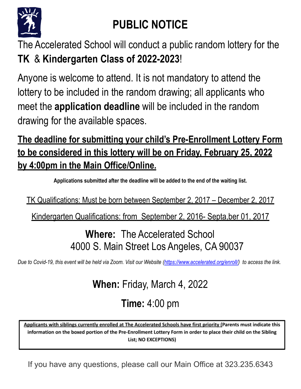

## **PUBLIC NOTICE**

The Accelerated School will conduct a public random lottery for the **TK** & **Kindergarten Class of 2022-2023**!

Anyone is welcome to attend. It is not mandatory to attend the lottery to be included in the random drawing; all applicants who meet the **application deadline** will be included in the random drawing for the available spaces.

## **The deadline for submitting your child's Pre-Enrollment Lottery Form to be considered in this lottery will be on Friday, February 25, 2022 by 4:00pm in the Main Office/Online.**

**Applications submitted after the deadline will be added to the end of the waiting list.**

TK Qualifications: Must be born between September 2, 2017 – December 2, 2017

Kindergarten Qualifications: from September 2, 2016- Septa,ber 01, 2017

## **Where:** The Accelerated School 4000 S. Main Street Los Angeles, CA 90037

*Due to Covid-19, this event will be held via Zoom. Visit our Website [\(https://www.accelerated.org/enroll/\)](https://www.accelerated.org/enroll/) to access the link.*

**When:** Friday, March 4, 2022

**Time:** 4:00 pm

Applicants with siblings currently enrolled at The Accelerated Schools have first priority (Parents must indicate this information on the boxed portion of the Pre-Enrollment Lottery Form in order to place their child on the Sibling List; NO EXCEPTIONS)

If you have any questions, please call our Main Office at 323.235.6343